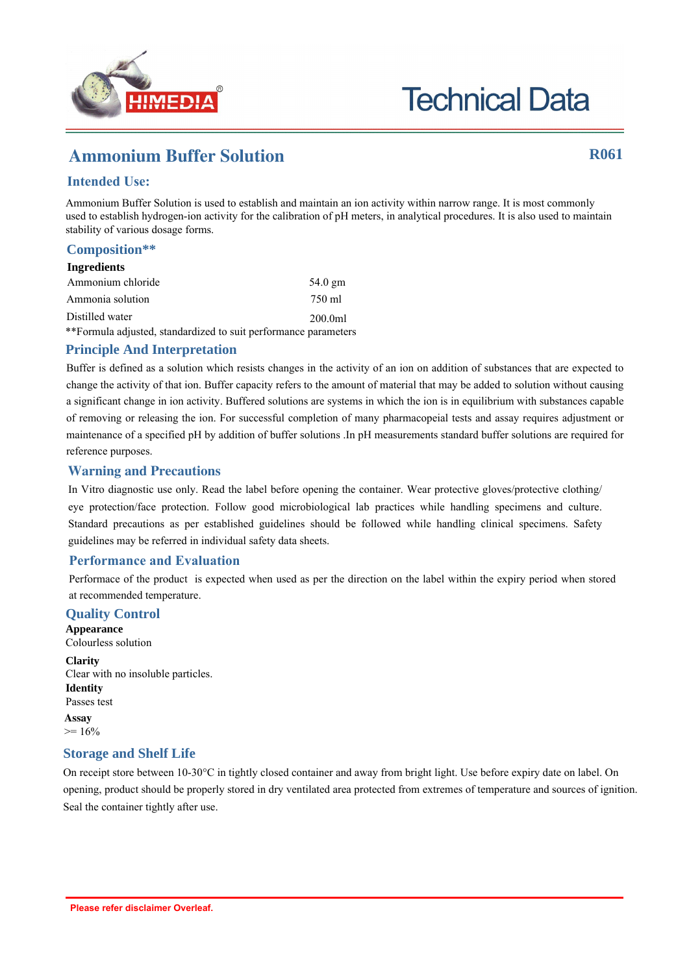

# **Technical Data**

## Ammonium Buffer Solution **R061**

### **Intended Use:**

Ammonium Buffer Solution is used to establish and maintain an ion activity within narrow range. It is most commonly used to establish hydrogen-ion activity for the calibration of pH meters, in analytical procedures. It is also used to maintain stability of various dosage forms.

#### **Composition\*\***

#### **Ingredients**

| Ammonium chloride                                               | $54.0$ gm |
|-----------------------------------------------------------------|-----------|
| Ammonia solution                                                | 750 ml    |
| Distilled water                                                 | 200.0ml   |
| **Formula adjusted, standardized to suit performance parameters |           |

#### **Principle And Interpretation**

Buffer is defined as a solution which resists changes in the activity of an ion on addition of substances that are expected to change the activity of that ion. Buffer capacity refers to the amount of material that may be added to solution without causing a significant change in ion activity. Buffered solutions are systems in which the ion is in equilibrium with substances capable of removing or releasing the ion. For successful completion of many pharmacopeial tests and assay requires adjustment or maintenance of a specified pH by addition of buffer solutions .In pH measurements standard buffer solutions are required for reference purposes.

#### **Warning and Precautions**

In Vitro diagnostic use only. Read the label before opening the container. Wear protective gloves/protective clothing/ eye protection/face protection. Follow good microbiological lab practices while handling specimens and culture. Standard precautions as per established guidelines should be followed while handling clinical specimens. Safety guidelines may be referred in individual safety data sheets.

#### **Performance and Evaluation**

Performace of the product is expected when used as per the direction on the label within the expiry period when stored at recommended temperature.

#### **Quality Control**

**Appearance** Colourless solution

**Clarity** Clear with no insoluble particles. **Identity** Passes test **Assay**  $>= 16\%$ 

#### **Storage and Shelf Life**

On receipt store between 10-30°C in tightly closed container and away from bright light. Use before expiry date on label. On opening, product should be properly stored in dry ventilated area protected from extremes of temperature and sources of ignition. Seal the container tightly after use.